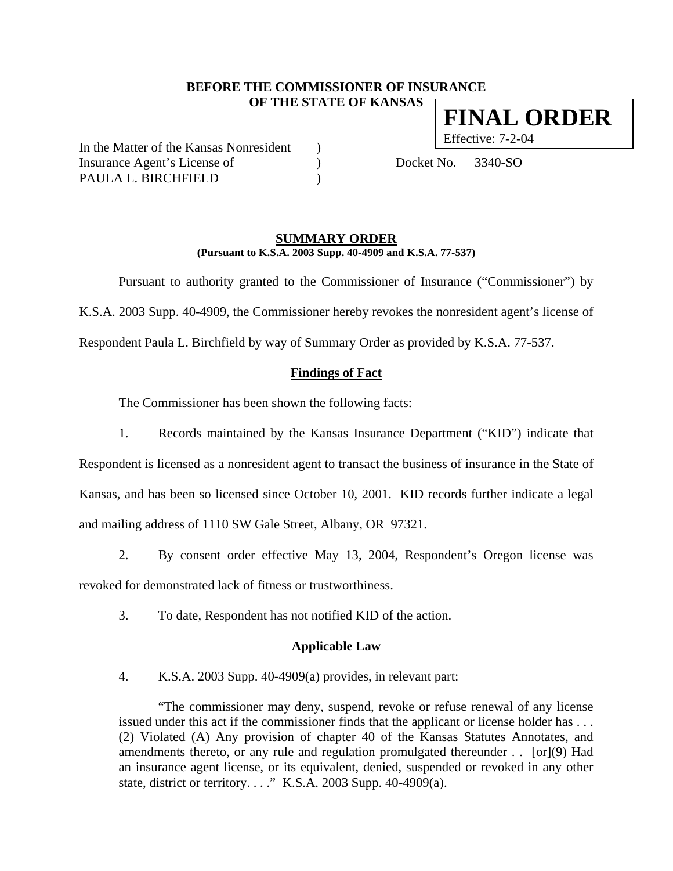# **BEFORE THE COMMISSIONER OF INSURANCE OF THE STATE OF KANSAS FINAL ORDER**

In the Matter of the Kansas Nonresident ) Insurance Agent's License of (a) Docket No. 3340-SO PAULA L. BIRCHFIELD

Effective: 7-2-04

#### **SUMMARY ORDER (Pursuant to K.S.A. 2003 Supp. 40-4909 and K.S.A. 77-537)**

 Pursuant to authority granted to the Commissioner of Insurance ("Commissioner") by K.S.A. 2003 Supp. 40-4909, the Commissioner hereby revokes the nonresident agent's license of Respondent Paula L. Birchfield by way of Summary Order as provided by K.S.A. 77-537.

## **Findings of Fact**

The Commissioner has been shown the following facts:

1. Records maintained by the Kansas Insurance Department ("KID") indicate that Respondent is licensed as a nonresident agent to transact the business of insurance in the State of Kansas, and has been so licensed since October 10, 2001. KID records further indicate a legal and mailing address of 1110 SW Gale Street, Albany, OR 97321.

2. By consent order effective May 13, 2004, Respondent's Oregon license was revoked for demonstrated lack of fitness or trustworthiness.

3. To date, Respondent has not notified KID of the action.

### **Applicable Law**

4. K.S.A. 2003 Supp. 40-4909(a) provides, in relevant part:

"The commissioner may deny, suspend, revoke or refuse renewal of any license issued under this act if the commissioner finds that the applicant or license holder has . . . (2) Violated (A) Any provision of chapter 40 of the Kansas Statutes Annotates, and amendments thereto, or any rule and regulation promulgated thereunder . . [or](9) Had an insurance agent license, or its equivalent, denied, suspended or revoked in any other state, district or territory. . . ." K.S.A. 2003 Supp. 40-4909(a).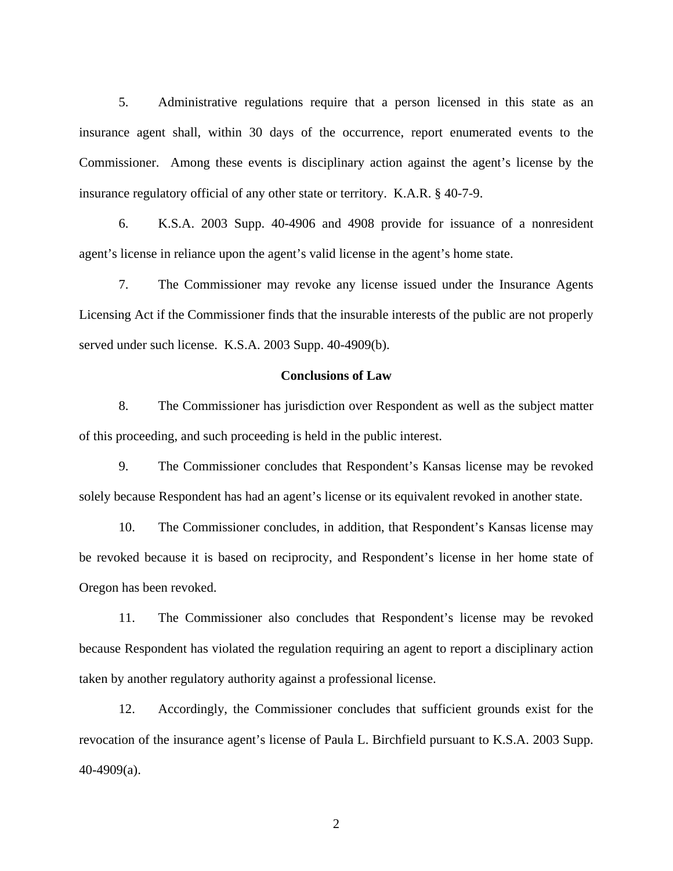5. Administrative regulations require that a person licensed in this state as an insurance agent shall, within 30 days of the occurrence, report enumerated events to the Commissioner. Among these events is disciplinary action against the agent's license by the insurance regulatory official of any other state or territory. K.A.R. § 40-7-9.

6. K.S.A. 2003 Supp. 40-4906 and 4908 provide for issuance of a nonresident agent's license in reliance upon the agent's valid license in the agent's home state.

7. The Commissioner may revoke any license issued under the Insurance Agents Licensing Act if the Commissioner finds that the insurable interests of the public are not properly served under such license. K.S.A. 2003 Supp. 40-4909(b).

#### **Conclusions of Law**

8. The Commissioner has jurisdiction over Respondent as well as the subject matter of this proceeding, and such proceeding is held in the public interest.

9. The Commissioner concludes that Respondent's Kansas license may be revoked solely because Respondent has had an agent's license or its equivalent revoked in another state.

10. The Commissioner concludes, in addition, that Respondent's Kansas license may be revoked because it is based on reciprocity, and Respondent's license in her home state of Oregon has been revoked.

11. The Commissioner also concludes that Respondent's license may be revoked because Respondent has violated the regulation requiring an agent to report a disciplinary action taken by another regulatory authority against a professional license.

12. Accordingly, the Commissioner concludes that sufficient grounds exist for the revocation of the insurance agent's license of Paula L. Birchfield pursuant to K.S.A. 2003 Supp. 40-4909(a).

2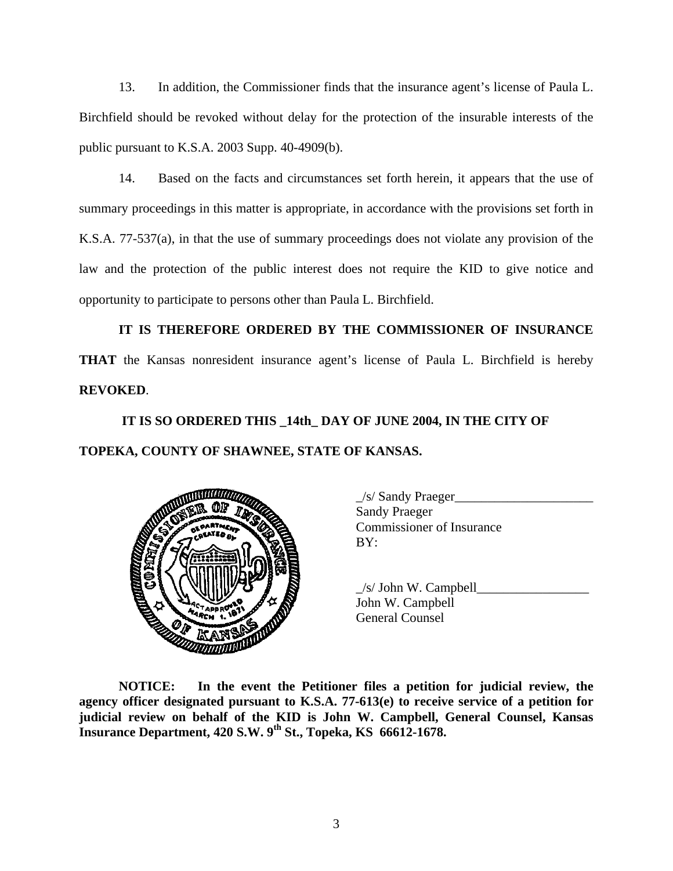13. In addition, the Commissioner finds that the insurance agent's license of Paula L. Birchfield should be revoked without delay for the protection of the insurable interests of the public pursuant to K.S.A. 2003 Supp. 40-4909(b).

14. Based on the facts and circumstances set forth herein, it appears that the use of summary proceedings in this matter is appropriate, in accordance with the provisions set forth in K.S.A. 77-537(a), in that the use of summary proceedings does not violate any provision of the law and the protection of the public interest does not require the KID to give notice and opportunity to participate to persons other than Paula L. Birchfield.

**IT IS THEREFORE ORDERED BY THE COMMISSIONER OF INSURANCE THAT** the Kansas nonresident insurance agent's license of Paula L. Birchfield is hereby **REVOKED**.

# **IT IS SO ORDERED THIS \_14th\_ DAY OF JUNE 2004, IN THE CITY OF TOPEKA, COUNTY OF SHAWNEE, STATE OF KANSAS.**



 \_/s/ Sandy Praeger\_\_\_\_\_\_\_\_\_\_\_\_\_\_\_\_\_\_\_\_\_ Sandy Praeger Commissioner of Insurance

 $/s/$  John W. Campbell John W. Campbell

**NOTICE: In the event the Petitioner files a petition for judicial review, the agency officer designated pursuant to K.S.A. 77-613(e) to receive service of a petition for judicial review on behalf of the KID is John W. Campbell, General Counsel, Kansas Insurance Department, 420 S.W. 9th St., Topeka, KS 66612-1678.**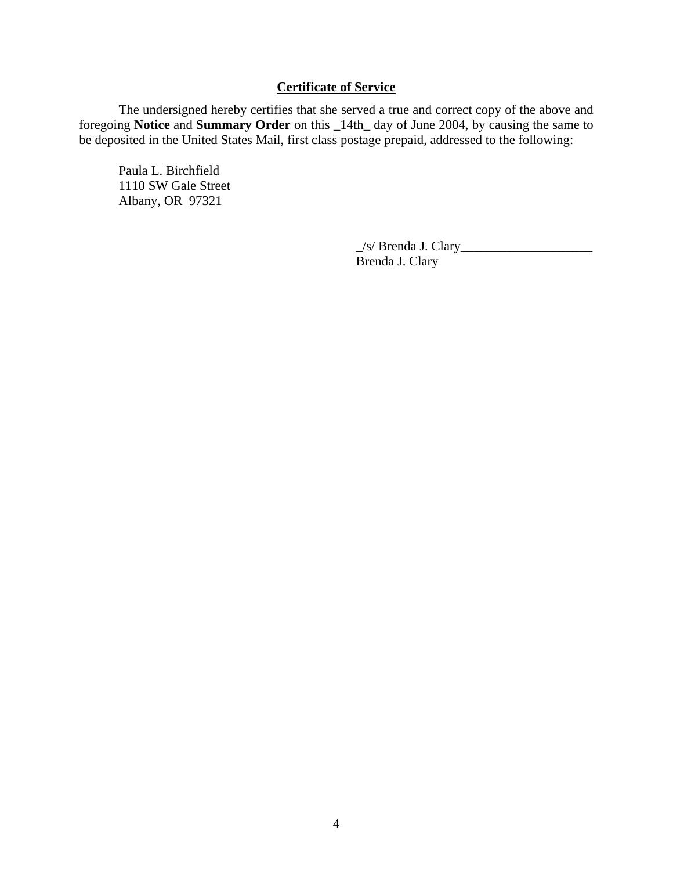# **Certificate of Service**

 The undersigned hereby certifies that she served a true and correct copy of the above and foregoing **Notice** and **Summary Order** on this \_14th\_ day of June 2004, by causing the same to be deposited in the United States Mail, first class postage prepaid, addressed to the following:

 Paula L. Birchfield 1110 SW Gale Street Albany, OR 97321

> $\angle$ s/ Brenda J. Clary $\angle$ Brenda J. Clary